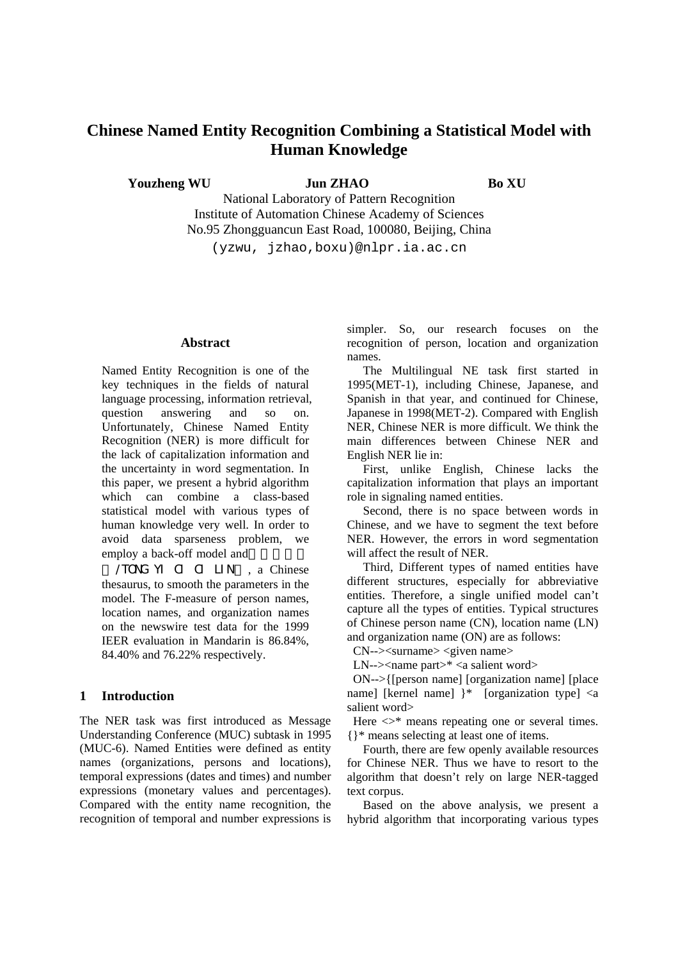# **Chinese Named Entity Recognition Combining a Statistical Model with Human Knowledge**

**Youzheng WU 30 Jun ZHAO Bo XU Bo XU** 

National Laboratory of Pattern Recognition Institute of Automation Chinese Academy of Sciences No.95 Zhongguancun East Road, 100080, Beijing, China

(yzwu, jzhao,boxu)@nlpr.ia.ac.cn

### **Abstract**

Named Entity Recognition is one of the key techniques in the fields of natural language processing, information retrieval, question answering and so on. Unfortunately, Chinese Named Entity Recognition (NER) is more difficult for the lack of capitalization information and the uncertainty in word segmentation. In this paper, we present a hybrid algorithm which can combine a class-based statistical model with various types of human knowledge very well. In order to avoid data sparseness problem, we employ a back-off model and

/TONG YI CI CI LIN , a Chinese thesaurus, to smooth the parameters in the model. The F-measure of person names, location names, and organization names on the newswire test data for the 1999 IEER evaluation in Mandarin is 86.84%, 84.40% and 76.22% respectively.

### **1 Introduction**

The NER task was first introduced as Message Understanding Conference (MUC) subtask in 1995 (MUC-6). Named Entities were defined as entity names (organizations, persons and locations), temporal expressions (dates and times) and number expressions (monetary values and percentages). Compared with the entity name recognition, the recognition of temporal and number expressions is

simpler. So, our research focuses on the recognition of person, location and organization names.

The Multilingual NE task first started in 1995(MET-1), including Chinese, Japanese, and Spanish in that year, and continued for Chinese, Japanese in 1998(MET-2). Compared with English NER, Chinese NER is more difficult. We think the main differences between Chinese NER and English NER lie in:

First, unlike English, Chinese lacks the capitalization information that plays an important role in signaling named entities.

Second, there is no space between words in Chinese, and we have to segment the text before NER. However, the errors in word segmentation will affect the result of NER.

Third, Different types of named entities have different structures, especially for abbreviative entities. Therefore, a single unified model can't capture all the types of entities. Typical structures of Chinese person name (CN), location name (LN) and organization name (ON) are as follows:

CN--><surname> <given name>

LN--><name part>\* <a salient word>

ON-->{[person name] [organization name] [place name] [kernel name] }\* [organization type] <a salient word>

Here  $\langle \rangle^*$  means repeating one or several times. {}\* means selecting at least one of items.

Fourth, there are few openly available resources for Chinese NER. Thus we have to resort to the algorithm that doesn't rely on large NER-tagged text corpus.

Based on the above analysis, we present a hybrid algorithm that incorporating various types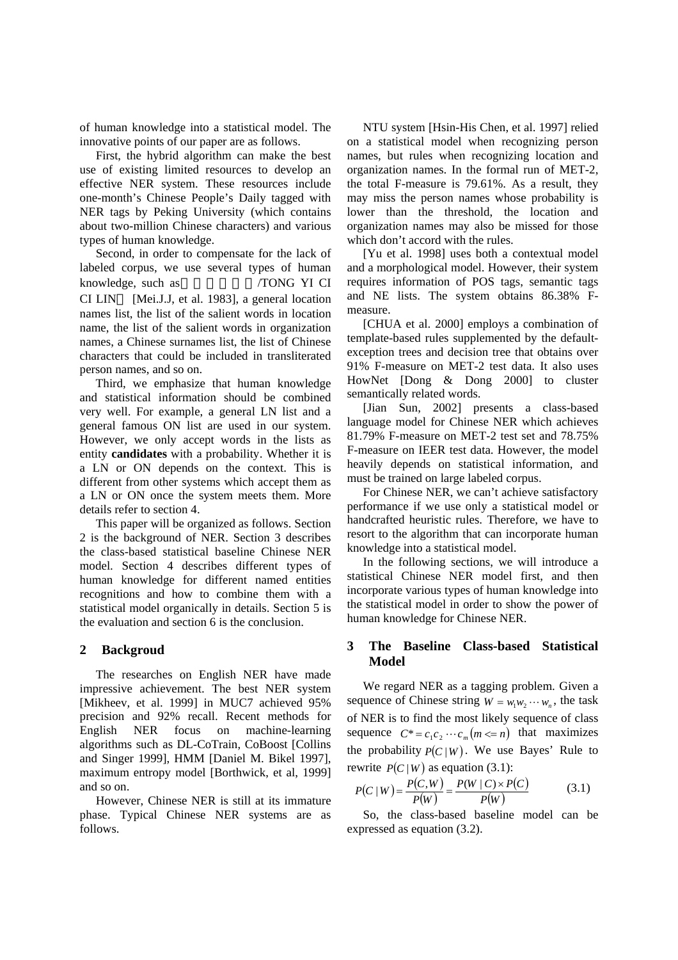of human knowledge into a statistical model. The innovative points of our paper are as follows.

First, the hybrid algorithm can make the best use of existing limited resources to develop an effective NER system. These resources include one-month's Chinese People's Daily tagged with NER tags by Peking University (which contains about two-million Chinese characters) and various types of human knowledge.

Second, in order to compensate for the lack of labeled corpus, we use several types of human knowledge, such as《同义词词林/TONG YI CI CI LIN [Mei.J.J, et al. 1983], a general location names list, the list of the salient words in location name, the list of the salient words in organization names, a Chinese surnames list, the list of Chinese characters that could be included in transliterated person names, and so on.

Third, we emphasize that human knowledge and statistical information should be combined very well. For example, a general LN list and a general famous ON list are used in our system. However, we only accept words in the lists as entity **candidates** with a probability. Whether it is a LN or ON depends on the context. This is different from other systems which accept them as a LN or ON once the system meets them. More details refer to section 4.

This paper will be organized as follows. Section 2 is the background of NER. Section 3 describes the class-based statistical baseline Chinese NER model. Section 4 describes different types of human knowledge for different named entities recognitions and how to combine them with a statistical model organically in details. Section 5 is the evaluation and section 6 is the conclusion.

## **2 Backgroud**

The researches on English NER have made impressive achievement. The best NER system [Mikheev, et al. 1999] in MUC7 achieved 95% precision and 92% recall. Recent methods for English NER focus on machine-learning algorithms such as DL-CoTrain, CoBoost [Collins and Singer 1999], HMM [Daniel M. Bikel 1997], maximum entropy model [Borthwick, et al, 1999] and so on.

However, Chinese NER is still at its immature phase. Typical Chinese NER systems are as follows.

NTU system [Hsin-His Chen, et al. 1997] relied on a statistical model when recognizing person names, but rules when recognizing location and organization names. In the formal run of MET-2, the total F-measure is 79.61%. As a result, they may miss the person names whose probability is lower than the threshold, the location and organization names may also be missed for those which don't accord with the rules.

[Yu et al. 1998] uses both a contextual model and a morphological model. However, their system requires information of POS tags, semantic tags and NE lists. The system obtains 86.38% Fmeasure.

[CHUA et al. 2000] employs a combination of template-based rules supplemented by the defaultexception trees and decision tree that obtains over 91% F-measure on MET-2 test data. It also uses HowNet [Dong & Dong 2000] to cluster semantically related words.

[Jian Sun, 2002] presents a class-based language model for Chinese NER which achieves 81.79% F-measure on MET-2 test set and 78.75% F-measure on IEER test data. However, the model heavily depends on statistical information, and must be trained on large labeled corpus.

For Chinese NER, we can't achieve satisfactory performance if we use only a statistical model or handcrafted heuristic rules. Therefore, we have to resort to the algorithm that can incorporate human knowledge into a statistical model.

In the following sections, we will introduce a statistical Chinese NER model first, and then incorporate various types of human knowledge into the statistical model in order to show the power of human knowledge for Chinese NER.

# **3 The Baseline Class-based Statistical Model**

We regard NER as a tagging problem. Given a sequence of Chinese string  $W = w_1 w_2 \cdots w_n$ , the task of NER is to find the most likely sequence of class sequence  $C^* = c_1 c_2 \cdots c_m (m \le n)$  that maximizes the probability  $P(C|W)$ . We use Bayes' Rule to rewrite  $P(C|W)$  as equation (3.1):

$$
P(C | W) = \frac{P(C, W)}{P(W)} = \frac{P(W | C) \times P(C)}{P(W)}
$$
(3.1)

So, the class-based baseline model can be expressed as equation (3.2).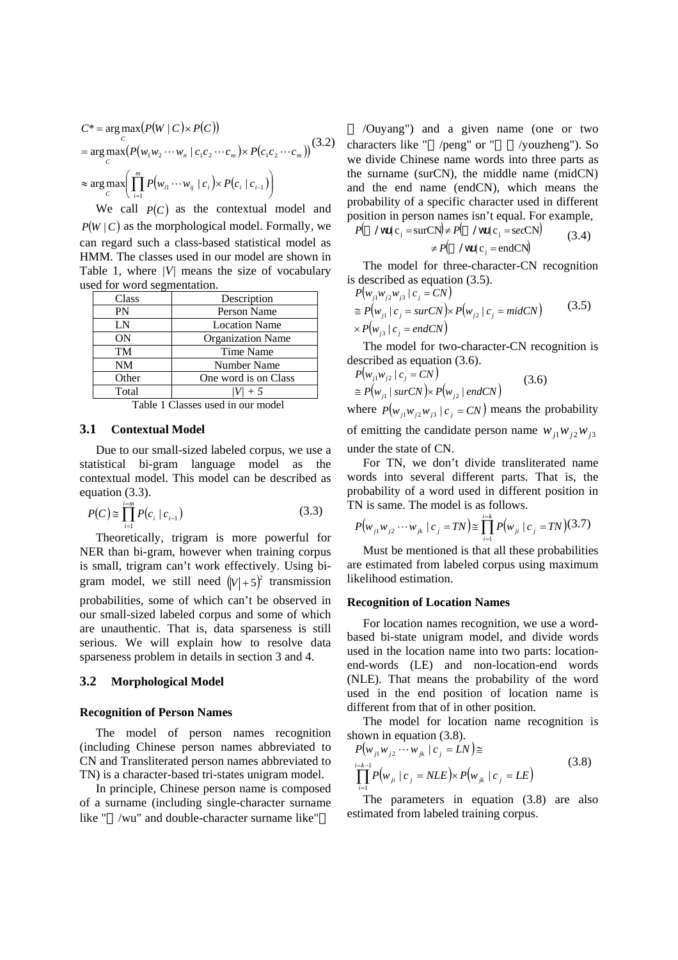$$
C^* = \underset{C}{\arg \max} (P(W \mid C) \times P(C))
$$
  
= 
$$
\underset{C}{\arg \max} (P(w_1 w_2 \cdots w_n \mid c_1 c_2 \cdots c_m) \times P(c_1 c_2 \cdots c_m))
$$
<sup>(3.2)</sup>  

$$
\approx \underset{C}{\arg \max} \left( \prod_{i=1}^m P(w_{i1} \cdots w_{ij} \mid c_i) \times P(c_i \mid c_{i-1}) \right)
$$

We call  $P(C)$  as the contextual model and  $P(W \mid C)$  as the morphological model. Formally, we can regard such a class-based statistical model as HMM. The classes used in our model are shown in Table 1, where *|V|* means the size of vocabulary used for word segmentation.

| Class     | Description              |  |  |
|-----------|--------------------------|--|--|
| PN        | Person Name              |  |  |
| LN        | <b>Location Name</b>     |  |  |
| <b>ON</b> | <b>Organization Name</b> |  |  |
| TM        | Time Name                |  |  |
| NM        | Number Name              |  |  |
| Other     | One word is on Class     |  |  |
| Total     |                          |  |  |

Table 1 Classes used in our model

### **3.1 Contextual Model**

Due to our small-sized labeled corpus, we use a statistical bi-gram language model as the contextual model. This model can be described as equation (3.3).

$$
P(C) \cong \prod_{i=1}^{i=m} P(c_i \mid c_{i-1})
$$
\n(3.3)

Theoretically, trigram is more powerful for NER than bi-gram, however when training corpus is small, trigram can't work effectively. Using bigram model, we still need  $(|V|+5)^2$  transmission probabilities, some of which can't be observed in our small-sized labeled corpus and some of which are unauthentic. That is, data sparseness is still serious. We will explain how to resolve data sparseness problem in details in section 3 and 4.

### **3.2 Morphological Model**

#### **Recognition of Person Names**

The model of person names recognition (including Chinese person names abbreviated to CN and Transliterated person names abbreviated to TN) is a character-based tri-states unigram model.

In principle, Chinese person name is composed of a surname (including single-character surname like " /wu" and double-character surname like"

/Ouyang") and a given name (one or two characters like " /peng" or " /youzheng"). So we divide Chinese name words into three parts as the surname (surCN), the middle name (midCN) and the end name (endCN), which means the probability of a specific character used in different position in person names isn't equal. For example,

$$
P(\quad / \text{wu} | c_j = \text{surCN}) \neq P(\quad / \text{wu} | c_j = \text{secCN})
$$
\n
$$
\neq P(\quad / \text{wu} | c_j = \text{endCN})
$$
\n(3.4)

The model for three-character-CN recognition is described as equation (3.5).

$$
P(w_{j1}w_{j2}w_{j3} \mid c_j = CN)
$$
  
\n
$$
\approx P(w_{j1} \mid c_j = surCN) \times P(w_{j2} \mid c_j = midCN)
$$
\n
$$
\times P(w_{j3} \mid c_j = endCN)
$$
\n(3.5)

The model for two-character-CN recognition is described as equation (3.6).

$$
P(w_{j1}w_{j2} \mid c_j = CN)
$$
  
\n
$$
\cong P(w_{j1} \mid surCN) \times P(w_{j2} \mid endCN)
$$
\n(3.6)

where  $P(w_{i1}w_{i2}w_{i3} | c_i = CN)$  means the probability of emitting the candidate person name  $w_{i1}w_{i2}w_{i3}$ under the state of CN.

For TN, we don't divide transliterated name words into several different parts. That is, the probability of a word used in different position in TN is same. The model is as follows.

$$
P(w_{j1}w_{j2}\cdots w_{jk} \mid c_j = TN) \cong \prod_{i=1}^{i=k} P(w_{ji} \mid c_j = TN) (3.7)
$$

Must be mentioned is that all these probabilities are estimated from labeled corpus using maximum likelihood estimation.

#### **Recognition of Location Names**

For location names recognition, we use a wordbased bi-state unigram model, and divide words used in the location name into two parts: locationend-words (LE) and non-location-end words (NLE). That means the probability of the word used in the end position of location name is different from that of in other position.

The model for location name recognition is shown in equation (3.8).

$$
P(w_{j1}w_{j2} \cdots w_{jk} | c_j = LN) \cong \n\prod_{i=1}^{i=k-1} P(w_{ji} | c_j = NLE) \times P(w_{jk} | c_j = LE)
$$
\n(3.8)

The parameters in equation (3.8) are also estimated from labeled training corpus.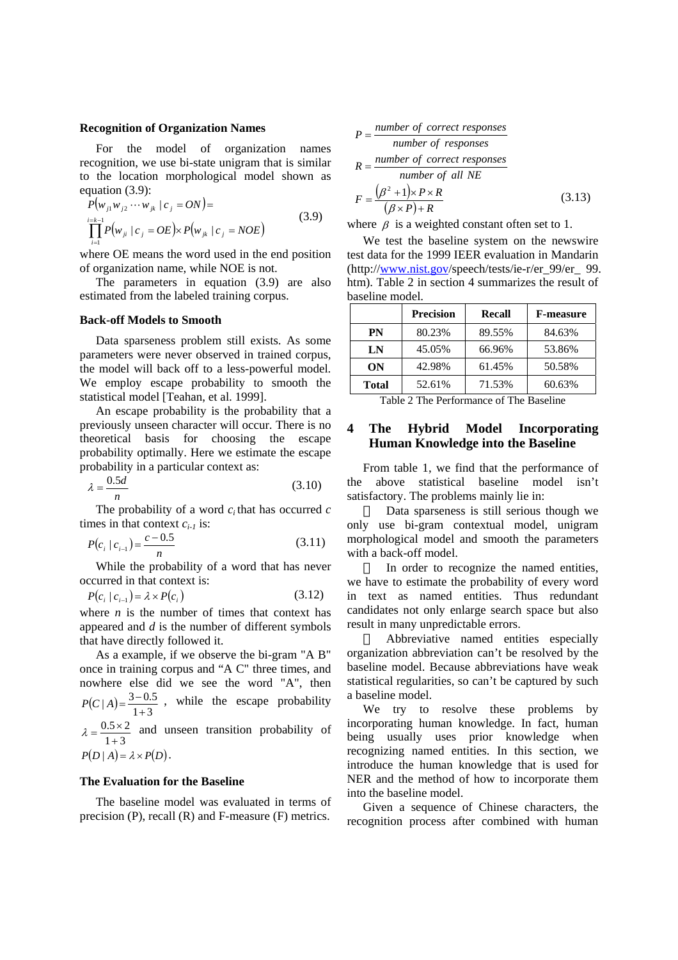#### **Recognition of Organization Names**

For the model of organization names recognition, we use bi-state unigram that is similar to the location morphological model shown as equation (3.9):

$$
P(w_{j1}w_{j2} \cdots w_{jk} \mid c_j = ON) =
$$
  
\n
$$
\prod_{i=1}^{i=k-1} P(w_{ji} \mid c_j = OE) \times P(w_{jk} \mid c_j = NOE)
$$
\n(3.9)

where OE means the word used in the end position of organization name, while NOE is not.

The parameters in equation (3.9) are also estimated from the labeled training corpus.

#### **Back-off Models to Smooth**

Data sparseness problem still exists. As some parameters were never observed in trained corpus, the model will back off to a less-powerful model. We employ escape probability to smooth the statistical model [Teahan, et al. 1999].

An escape probability is the probability that a previously unseen character will occur. There is no theoretical basis for choosing the escape probability optimally. Here we estimate the escape probability in a particular context as:

$$
\lambda = \frac{0.5d}{n} \tag{3.10}
$$

The probability of a word  $c_i$  that has occurred  $c$ times in that context  $c_{i-1}$  is:

$$
P(c_i \mid c_{i-1}) = \frac{c - 0.5}{n}
$$
 (3.11)

While the probability of a word that has never occurred in that context is:

$$
P(c_i \mid c_{i-1}) = \lambda \times P(c_i) \tag{3.12}
$$

where  $n$  is the number of times that context has appeared and *d* is the number of different symbols that have directly followed it.

As a example, if we observe the bi-gram "A B" once in training corpus and "A C" three times, and nowhere else did we see the word "A", then  $P(C | A) = \frac{3 - 0.5}{1 + 3}$ , while the escape probability  $1 + 3$  $0.5 \times 2$  $\lambda = \frac{0.5 \times 2}{1 + 3}$  and unseen transition probability of  $P(D | A) = \lambda \times P(D)$ .

### **The Evaluation for the Baseline**

The baseline model was evaluated in terms of precision (P), recall (R) and F-measure (F) metrics.

$$
P = \frac{number\ of\ correct\ responses}{number\ of\ responses}
$$
  
\n
$$
R = \frac{number\ of\ correct\ responses}{number\ of\ all\ NE}
$$
  
\n
$$
F = \frac{(\beta^2 + 1) \times P \times R}{(\beta \times P) + R}
$$
(3.13)

where  $\beta$  is a weighted constant often set to 1.

We test the baseline system on the newswire test data for the 1999 IEER evaluation in Mandarin (http://www.nist.gov/speech/tests/ie-r/er\_99/er\_ 99. htm). Table 2 in section 4 summarizes the result of baseline model.

|              | <b>Precision</b> | Recall | <b>F-measure</b> |
|--------------|------------------|--------|------------------|
| PN           | 80.23%           | 89.55% | 84.63%           |
| LN           | 45.05%           | 66.96% | 53.86%           |
| ON           | 42.98%           | 61.45% | 50.58%           |
| <b>Total</b> | 52.61%           | 71.53% | 60.63%           |

Table 2 The Performance of The Baseline

### **4 The Hybrid Model Incorporating Human Knowledge into the Baseline**

From table 1, we find that the performance of the above statistical baseline model isn't satisfactory. The problems mainly lie in:

Data sparseness is still serious though we only use bi-gram contextual model, unigram morphological model and smooth the parameters with a back-off model.

In order to recognize the named entities, we have to estimate the probability of every word in text as named entities. Thus redundant candidates not only enlarge search space but also result in many unpredictable errors.

Abbreviative named entities especially organization abbreviation can't be resolved by the baseline model. Because abbreviations have weak statistical regularities, so can't be captured by such a baseline model.

We try to resolve these problems by incorporating human knowledge. In fact, human being usually uses prior knowledge when recognizing named entities. In this section, we introduce the human knowledge that is used for NER and the method of how to incorporate them into the baseline model.

Given a sequence of Chinese characters, the recognition process after combined with human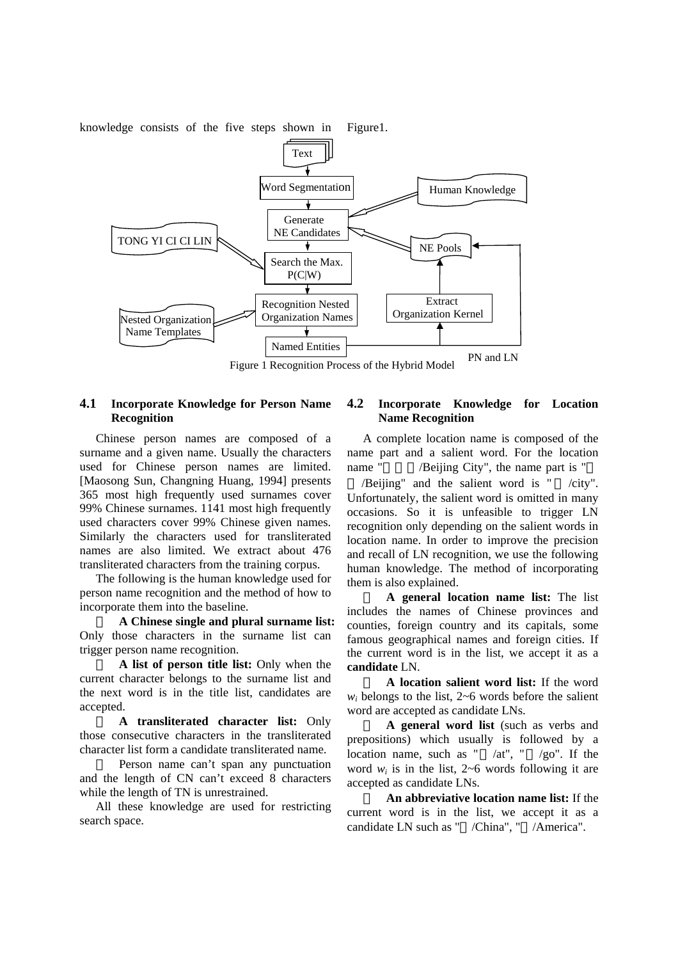knowledge consists of the five steps shown in Figure1.



Figure 1 Recognition Process of the Hybrid Model

### **4.1 Incorporate Knowledge for Person Name Recognition**

Chinese person names are composed of a surname and a given name. Usually the characters used for Chinese person names are limited. [Maosong Sun, Changning Huang, 1994] presents 365 most high frequently used surnames cover 99% Chinese surnames. 1141 most high frequently used characters cover 99% Chinese given names. Similarly the characters used for transliterated names are also limited. We extract about 476 transliterated characters from the training corpus.

The following is the human knowledge used for person name recognition and the method of how to incorporate them into the baseline.

**A Chinese single and plural surname list:**  Only those characters in the surname list can trigger person name recognition.

**A list of person title list:** Only when the current character belongs to the surname list and the next word is in the title list, candidates are accepted.

**A transliterated character list:** Only those consecutive characters in the transliterated character list form a candidate transliterated name.

Person name can't span any punctuation and the length of CN can't exceed 8 characters while the length of TN is unrestrained.

All these knowledge are used for restricting search space.

# **4.2 Incorporate Knowledge for Location Name Recognition**

A complete location name is composed of the name part and a salient word. For the location name " /Beijing City", the name part is "

/Beijing" and the salient word is " /city". Unfortunately, the salient word is omitted in many occasions. So it is unfeasible to trigger LN recognition only depending on the salient words in location name. In order to improve the precision and recall of LN recognition, we use the following human knowledge. The method of incorporating them is also explained.

**A general location name list:** The list includes the names of Chinese provinces and counties, foreign country and its capitals, some famous geographical names and foreign cities. If the current word is in the list, we accept it as a **candidate** LN.

**A location salient word list:** If the word  $w_i$  belongs to the list,  $2\neg 6$  words before the salient word are accepted as candidate LNs.

**A general word list** (such as verbs and prepositions) which usually is followed by a location name, such as " /at", " /go". If the word  $w_i$  is in the list,  $2\neg 6$  words following it are accepted as candidate LNs.

**An abbreviative location name list:** If the current word is in the list, we accept it as a candidate LN such as " /China", " /America".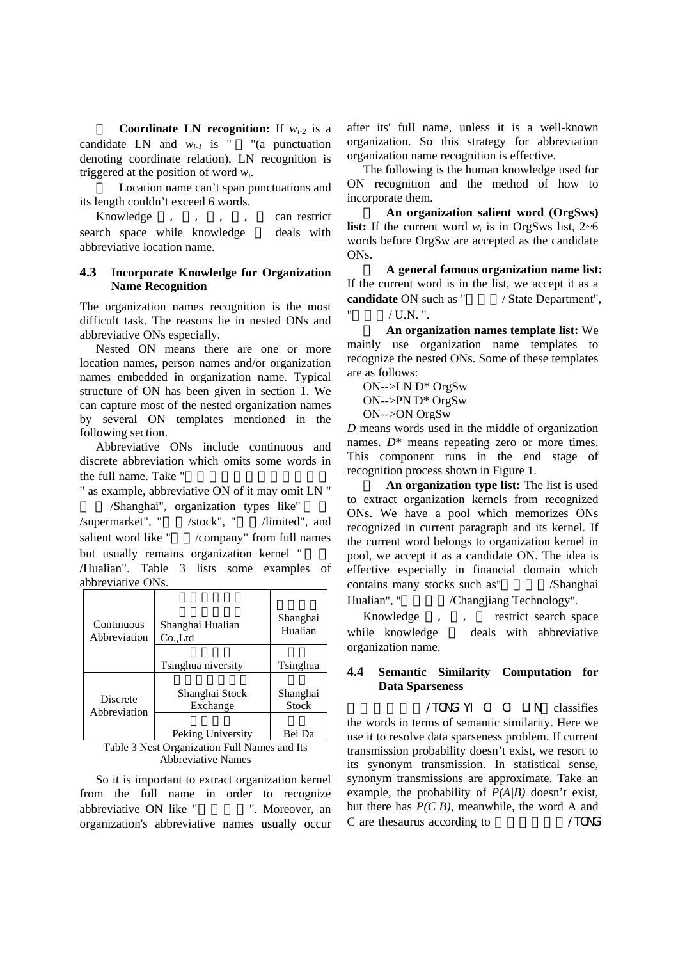**Coordinate LN recognition:** If  $w_{i-2}$  is a candidate LN and  $w_{i-1}$  is " "(a punctuation denoting coordinate relation), LN recognition is triggered at the position of word *wi*.

Location name can't span punctuations and its length couldn't exceed 6 words.

Knowledge , , , , can restrict search space while knowledge deals with abbreviative location name.

### **4.3 Incorporate Knowledge for Organization Name Recognition**

The organization names recognition is the most difficult task. The reasons lie in nested ONs and abbreviative ONs especially.

Nested ON means there are one or more location names, person names and/or organization names embedded in organization name. Typical structure of ON has been given in section 1. We can capture most of the nested organization names by several ON templates mentioned in the following section.

Abbreviative ONs include continuous and discrete abbreviation which omits some words in the full name. Take "

" as example, abbreviative ON of it may omit LN " /Shanghai", organization types like"

 $\ell$ supermarket", " $\ell$ stock", " $\ell$ limited", and salient word like " /company" from full names but usually remains organization kernel "

/Hualian". Table 3 lists some examples of abbreviative ONs.

| Continuous             | Shanghai Hualian                                                                   | Shanghai       |  |
|------------------------|------------------------------------------------------------------------------------|----------------|--|
| Abbreviation           | Co.Ltd                                                                             | Hualian        |  |
|                        | Tsinghua niversity                                                                 | Tsinghua       |  |
| Discrete               | Shanghai Stock                                                                     | Shanghai       |  |
| Abbreviation           | Exchange                                                                           | <b>Stock</b>   |  |
| <b>ART</b><br>ᅲ<br>. . | Peking University<br>$\mathbf{r}$ $\mathbf{r}$ $\mathbf{r}$ $\mathbf{r}$<br>$\sim$ | Bei Da<br>1.7. |  |

Table 3 Nest Organization Full Names and Its Abbreviative Names

So it is important to extract organization kernel from the full name in order to recognize abbreviative ON like " T. Moreover, an organization's abbreviative names usually occur

after its' full name, unless it is a well-known organization. So this strategy for abbreviation organization name recognition is effective.

The following is the human knowledge used for ON recognition and the method of how to incorporate them.

**An organization salient word (OrgSws) list:** If the current word  $w_i$  is in OrgSws list,  $2\neg 6$ words before OrgSw are accepted as the candidate ONs.

**A general famous organization name list:**  If the current word is in the list, we accept it as a **candidate** ON such as " / State Department",  $/$  UN  $"$ 

**An organization names template list:** We mainly use organization name templates to recognize the nested ONs. Some of these templates are as follows:

ON-->LN D\* OrgSw

ON-->PN D\* OrgSw

ON-->ON OrgSw

*D* means words used in the middle of organization names.  $D^*$  means repeating zero or more times. This component runs in the end stage of recognition process shown in Figure 1.

**An organization type list:** The list is used to extract organization kernels from recognized ONs. We have a pool which memorizes ONs recognized in current paragraph and its kernel. If the current word belongs to organization kernel in pool, we accept it as a candidate ON. The idea is effective especially in financial domain which contains many stocks such as" /Shanghai Hualian", "
/Changjiang Technology".

Knowledge , , restrict search space while knowledge deals with abbreviative organization name.

## **4.4 Semantic Similarity Computation for Data Sparseness**

/TONG YI CI CI LIN classifies the words in terms of semantic similarity. Here we use it to resolve data sparseness problem. If current transmission probability doesn't exist, we resort to its synonym transmission. In statistical sense, synonym transmissions are approximate. Take an example, the probability of *P(A|B)* doesn't exist, but there has *P(C|B)*, meanwhile, the word A and C are thesaurus according to  $/70N$ G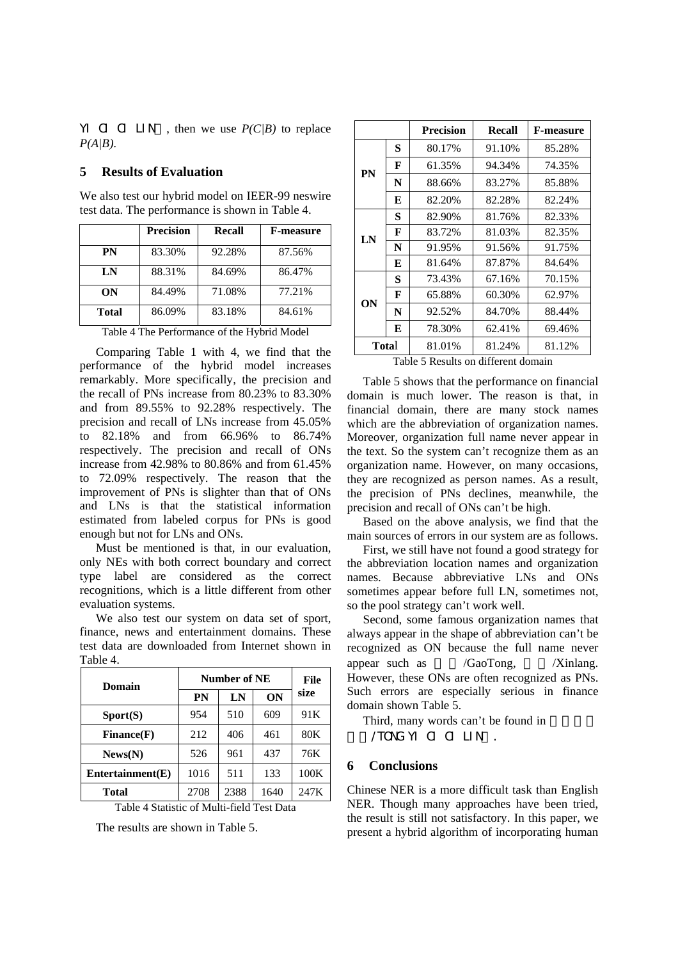YI CI CI LIN , then we use *P(C|B)* to replace *P(A|B)*.

### **5 Results of Evaluation**

We also test our hybrid model on IEER-99 neswire test data. The performance is shown in Table 4.

|              | <b>Precision</b> | <b>Recall</b> | <b>F-measure</b> |
|--------------|------------------|---------------|------------------|
| PN           | 83.30%           | 92.28%        | 87.56%           |
| LN           | 88.31%           | 84.69%        | 86.47%           |
| ON           | 84.49%           | 71.08%        | 77.21%           |
| <b>Total</b> | 86.09%           | 83.18%        | 84.61%           |

Table 4 The Performance of the Hybrid Model

Comparing Table 1 with 4, we find that the performance of the hybrid model increases remarkably. More specifically, the precision and the recall of PNs increase from 80.23% to 83.30% and from 89.55% to 92.28% respectively. The precision and recall of LNs increase from 45.05% to 82.18% and from 66.96% to 86.74% respectively. The precision and recall of ONs increase from 42.98% to 80.86% and from 61.45% to 72.09% respectively. The reason that the improvement of PNs is slighter than that of ONs and LNs is that the statistical information estimated from labeled corpus for PNs is good enough but not for LNs and ONs.

Must be mentioned is that, in our evaluation, only NEs with both correct boundary and correct type label are considered as the correct recognitions, which is a little different from other evaluation systems.

We also test our system on data set of sport, finance, news and entertainment domains. These test data are downloaded from Internet shown in Table 4.

| Domain            | Number of NE |      |           | File            |
|-------------------|--------------|------|-----------|-----------------|
|                   | <b>PN</b>    | LN   | <b>ON</b> | size            |
| $\text{Sports}$ ) | 954          | 510  | 609       | 91 <sub>K</sub> |
| Finance(F)        | 212          | 406  | 461       | 80K             |
| News(N)           | 526          | 961  | 437       | 76K             |
| Entertaimment(E)  | 1016         | 511  | 133       | 100K            |
| <b>Total</b>      | 2708         | 2388 | 1640      | 247K            |

Table 4 Statistic of Multi-field Test Data

The results are shown in Table 5.

|       | <b>Precision</b> | <b>Recall</b> | <b>F-measure</b>                    |
|-------|------------------|---------------|-------------------------------------|
| S     | 80.17%           | 91.10%        | 85.28%                              |
| F     | 61.35%           | 94.34%        | 74.35%                              |
| N     | 88.66%           | 83.27%        | 85.88%                              |
| Е     | 82.20%           | 82.28%        | 82.24%                              |
| S     | 82.90%           | 81.76%        | 82.33%                              |
| F     | 83.72%           | 81.03%        | 82.35%                              |
| N     | 91.95%           | 91.56%        | 91.75%                              |
| Е     | 81.64%           | 87.87%        | 84.64%                              |
| S     | 73.43%           | 67.16%        | 70.15%                              |
| F     | 65.88%           | 60.30%        | 62.97%                              |
| N     | 92.52%           | 84.70%        | 88.44%                              |
| Е     | 78.30%           | 62.41%        | 69.46%                              |
| Total | 81.01%           | 81.24%        | 81.12%                              |
|       |                  |               | Teble 5 Decults on different domain |

Table 5 Results on different domain

Table 5 shows that the performance on financial domain is much lower. The reason is that, in financial domain, there are many stock names which are the abbreviation of organization names. Moreover, organization full name never appear in the text. So the system can't recognize them as an organization name. However, on many occasions, they are recognized as person names. As a result, the precision of PNs declines, meanwhile, the precision and recall of ONs can't be high.

Based on the above analysis, we find that the main sources of errors in our system are as follows.

First, we still have not found a good strategy for the abbreviation location names and organization names. Because abbreviative LNs and ONs sometimes appear before full LN, sometimes not, so the pool strategy can't work well.

Second, some famous organization names that always appear in the shape of abbreviation can't be recognized as ON because the full name never appear such as  $/GaoTong$ ,  $/Xinlang$ . However, these ONs are often recognized as PNs. Such errors are especially serious in finance domain shown Table 5.

Third, many words can't be found in 词林/TONG YI CI CI LIN .

### **6 Conclusions**

Chinese NER is a more difficult task than English NER. Though many approaches have been tried, the result is still not satisfactory. In this paper, we present a hybrid algorithm of incorporating human